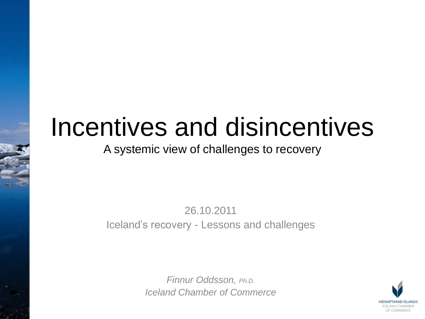## Incentives and disincentives

#### A systemic view of challenges to recovery

26.10.2011 Iceland's recovery - Lessons and challenges

> *Finnur Oddsson, Ph.D. Iceland Chamber of Commerce*

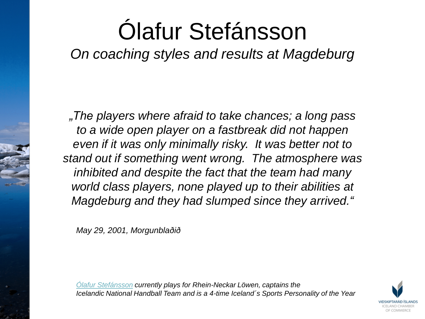## Ólafur Stefánsson

*On coaching styles and results at Magdeburg*

*"The players where afraid to take chances; a long pass to a wide open player on a fastbreak did not happen even if it was only minimally risky. It was better not to stand out if something went wrong. The atmosphere was inhibited and despite the fact that the team had many world class players, none played up to their abilities at Magdeburg and they had slumped since they arrived."*

*May 29, 2001, Morgunblaðið*

*[Ólafur Stefánsson](http://en.wikipedia.org/wiki/%C3%93lafur_Stef%C3%A1nsson) currently plays for Rhein-Neckar Löwen, captains the Icelandic National Handball Team and is a 4-time Iceland´s Sports Personality of the Year*

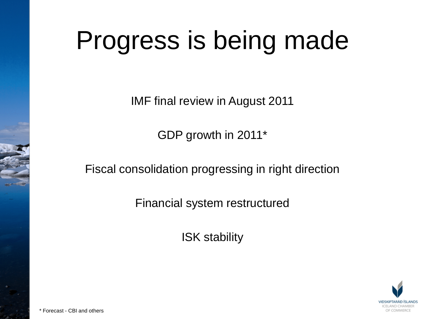## Progress is being made

IMF final review in August 2011

GDP growth in 2011\*

Fiscal consolidation progressing in right direction

Financial system restructured

ISK stability

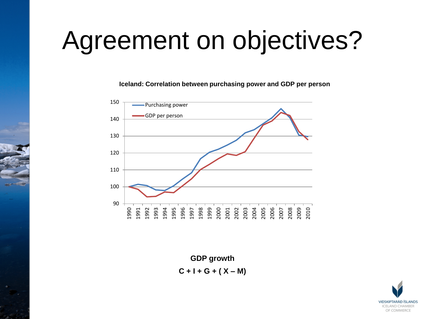## Agreement on objectives?

**Iceland: Correlation between purchasing power and GDP per person**



**GDP growth C + I + G + ( X – M)**

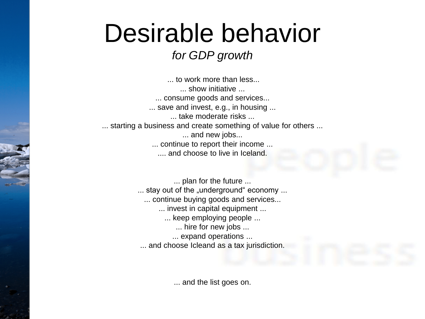## Desirable behavior

#### *for GDP growth*

... to work more than less... ... show initiative ... ... consume goods and services... ... save and invest, e.g., in housing ... ... take moderate risks ... ... starting a business and create something of value for others ... ... and new jobs... ... continue to report their income ... .... and choose to live in Iceland.

> ... plan for the future ... ... stay out of the "underground" economy ... ... continue buying goods and services... ... invest in capital equipment ... ... keep employing people ... ... hire for new jobs ... ... expand operations ... ... and choose Icleand as a tax jurisdiction.

> > ... and the list goes on.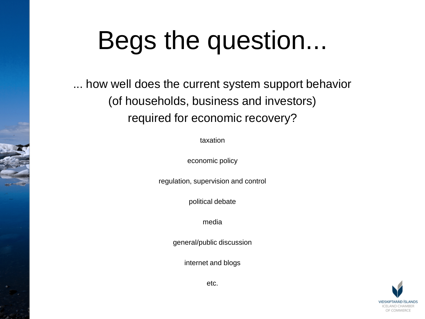## Begs the question...

... how well does the current system support behavior (of households, business and investors) required for economic recovery?

taxation

economic policy

regulation, supervision and control

political debate

media

general/public discussion

internet and blogs



etc.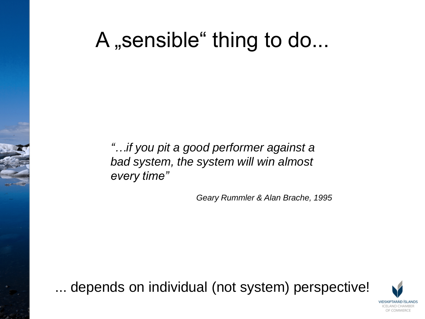## A , sensible " thing to do...

*"…if you pit a good performer against a bad system, the system will win almost every time"*

*Geary Rummler & Alan Brache, 1995*

... depends on individual (not system) perspective!

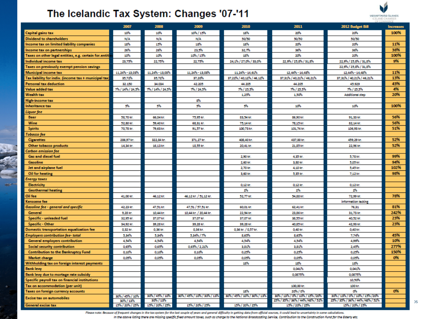#### The Icelandic Tax System: Changes '07-'11



|                                                                            | 2007             | 2008             | 2009                        | 2010                         | 2011                              | 2012 Budget Bill                  | <b>Increases</b> |
|----------------------------------------------------------------------------|------------------|------------------|-----------------------------|------------------------------|-----------------------------------|-----------------------------------|------------------|
| Capital gains tax                                                          | 10%              | 10%              | 10%/15%                     | 18%                          | 20%                               | 20%                               | 100%             |
| Dividend to shareholders                                                   | N/A              | N/A              | N/A                         | 50/50                        | 50/50                             | 50/50                             |                  |
| Income tax on limited liability companies                                  | 18%              | 11%              | 18%                         | 18%                          | 20%                               | 20%                               | 11%              |
| Income tax on partnerships                                                 | 26%              | 26%              | 23,5%                       | 32,7%                        | 36%                               | 36%                               | 38%              |
| Taxes on other legal entities, e.g. certain for.entiti                     | 10%              | 10%              | 10% / 15%                   | 18%                          | 20%                               | 20%                               | 100%             |
| Individual income tax                                                      | 23,75%           | 22,75%           | 22,75%                      | 24,1% / 27,0% / 33,0%        | 22,9% / 25,8% / 31,8%             | 22,9% / 25,8% / 31,8%             | 9%               |
| Taxes on previously exempt pension savings                                 |                  |                  |                             |                              |                                   | 22.9% / 25.8% / 31.8%             |                  |
| Municipal income tax                                                       | 11,24% - 13,03%  | 11,24% - 13,03%  | 11,24% - 13,03%             | 11,24% - 14,61%              | 12,44% - 14,48%                   | 12,44% - 14,48%                   | 11%              |
| Tax liability for indiv. (income tax + municipal tax)                      | 35,72%           | 35,72%           | 37,20%                      | 37,22% / 40,12% / 46,12%     | 37,31% / 40,21% / 46,21%          | 37, 31% / 40, 21% / 46, 21%       | 13%              |
| Personal tax deduction                                                     | 32.150           | 34.034           | 42,205                      | 44.205                       | 44.205                            | 45.929                            | 43%              |
| Value added tax                                                            | 7%/14%/24.3%     | 7%/14%/24.5%     | 7% / 24,5%                  | 7%/25.5%                     | 7%/25.5%                          | 7% / 25.3%                        | 4%               |
| <b>Wealth tax</b>                                                          |                  |                  |                             | 1.25%                        | 1,50%                             | <b>Additional step</b>            | 20%              |
| <b>High-income tax</b>                                                     |                  |                  | 8%                          |                              |                                   |                                   |                  |
| Inheritance tax                                                            | 5%               | 5%               | 5%                          | 5%                           | 10%                               | 10%                               | 100%             |
| Liquor fee                                                                 |                  |                  |                             |                              |                                   |                                   |                  |
| Beer                                                                       | 58,70 kg         | 66,04 kr.        | 75,95 kr.                   | 83,54 kg                     | 86,90 kr.                         | 91,33 kg.                         | 56%              |
| Wine                                                                       | 52,80 kg         | 39,40 kr.        | 68,31 kr.                   | 75,14 kg                     | 78,15 kr.                         | 82,14 kg                          | 56%              |
| <b>Spirits</b>                                                             | 70,78 kg         | 79,63 kr.        | 91,57 kr.                   | 100,73 kr.                   | 101,74 kr.                        | 106.93 kg.                        | 51%              |
| Tobacco fee                                                                |                  |                  |                             |                              |                                   |                                   |                  |
| <b>Cigarettes</b>                                                          | 286,97 km        | 322,84 kr.       | 371,27 kg                   | 408,40 kr.                   | 437,00 kr.                        | 459,29 kg                         | 52%              |
| Other tobacco products                                                     | 14,34 kr.        | 16,13 kr.        | 18,35 kg                    | 20,41 kg                     | 21,85 kr.                         | 22,96 kr.                         | 52%              |
| Carbon emission fee                                                        |                  |                  |                             |                              |                                   |                                   |                  |
| <b>Gas and diesel fuel</b>                                                 |                  |                  |                             | 2,90 kg.                     | 4,35 kg.                          | 5,78 kr.                          | 99%              |
| Gasoline                                                                   |                  |                  |                             | 2,60 kr.                     | 3,80 kr.                          | 5,05 kr.                          | 94%              |
| Jet and airplane fuel                                                      |                  |                  |                             | 2,70 kg.                     | 4,10 kg.                          | 5,45 kr.                          | 102%             |
| <b>Oil for heating</b>                                                     |                  |                  |                             | 3,60 kr.                     | 5,35 kg                           | 7,12 kr.                          | 98%              |
| Energy taxes                                                               |                  |                  |                             |                              |                                   |                                   |                  |
| Electricity                                                                |                  |                  |                             | $0.12$ kg.                   | $0.12$ kg.                        | 0.12 kr.                          |                  |
| <b>Geothermal heating</b>                                                  |                  |                  |                             | 2%                           | 2%                                | 2%                                |                  |
| Oil fee                                                                    | 41,00 kr.        | 46,12 kr.        | 46,12 kr. / 51,12 kr.       | 52,77 la.                    | 54,88 kr.                         | 72,99 kr.                         | 78%              |
| Kerosene fee                                                               |                  |                  |                             |                              |                                   | information lacking               |                  |
| Gasoline fee - general and specific                                        | 42,23 kg         | 47,51 kr.        | 47,51 / 57,51 kr.           | 60,01 kg.                    | 62,41 kr.                         | 76,31                             | 81%              |
| General                                                                    | 9.28 kg          | 10,44 kr.        | 10,44 kr. / 20,44 kr.       | 22,94 kr.                    | 23,86 kr.                         | 31,73 kg                          | 242%<br>23%      |
| Specific - unleaded fuel                                                   | 32,95 kg         | 37,07 kr.        | 37,07 kg                    | 37,07 kg.                    | 38,55 kr.                         | 40,52 kg                          |                  |
| Specific - Other                                                           | 34.92 kg         | 39,28 kr.        | 39,28 kg                    | 39.28 kg                     | 40.85 kr.                         | 42,93 kr.                         | 23%              |
| Domestic transportation equalization fee                                   | 0,32 kg<br>5,34% | 0,36 kr.<br>534% | 0,36 kr.<br>5,34% / 7%      | 0,36 kr. / 0,57 kr.<br>8,65% | 0,40 kg.<br>8,63%                 | 0,40 kr.<br>7,74%                 | 45%              |
| Employers contribution fee- total<br><b>General employers contribution</b> | 4,54%            | 4,54%            | 4,54%                       | 4,34%                        | 4,34%                             | 4,99%                             | 10%              |
|                                                                            | 0.63%            | 0,63%            | 0,65% / 2,21%               | 3,81%                        | 3,81%                             | 2,43%                             | 277%             |
| Social security contribution<br><b>Contribution to the Bankruptcy Fund</b> | 0.10%            | 0,10%            | 0,10%                       | 0.25%                        | 0,25%                             | 0,25%                             | 150%             |
| <b>Market charge</b>                                                       | 0,05%            | 0,05%            | 0.05%                       | 0,05%                        | 0,05%                             | 0.05%                             | 0%               |
| Withholding tax on foreign interest payments                               |                  |                  |                             | 18%                          | 18%                               | 18%                               |                  |
| Bank levy                                                                  |                  |                  |                             |                              | 0.041%                            | 0.041%                            |                  |
| Bank levy due to mortage rate subsidy                                      |                  |                  |                             |                              | 0,0875%                           | 0,0875%                           |                  |
| Specific payroll tax on financial institutions                             |                  |                  |                             |                              |                                   | 10,50%                            |                  |
| Tax on accommodation (per unit)                                            |                  |                  |                             |                              | 100,00 kr.                        | 100 kr.                           |                  |
| Taxes on foreign currency accounts                                         |                  |                  |                             | 18%                          | 20% / 0%                          | œ.                                | 0%               |
| Excise tax on automobiles                                                  | 30% / 43% / 10%  | 30%/45%/10%      | 30% / 45% / 10% / 30% / 13% | 30% / 45% / 10% / 30% / 13%  | 30% / 13% / 0% / 10% / 15% / 20%  | 30% / 13% / 0% / 10% / 15% / 20%  |                  |
|                                                                            | 30%/13%          | 30%/13%          |                             |                              | 23% / 33% / 36% / 44% / 48% / 52% | 25% / 35% / 36% / 44% / 48% / 52% |                  |
| <b>General excise tax</b>                                                  | 15% / 20% / 25%  | 1.5% / 20% / 25% | 15%/20%/25%                 | 15%/20%/25%                  | 15% / 20% / 25%                   | 15% / 20% / 25%                   |                  |

Please note: Because of frequent changes in the tax system for the last couple of years and general difficulty in getting data from official sources, it could lead to uncertainty in some calculations.

In the above listing there are missing specific fixed amount taxes, such as charge to the National Broadcasting Service, Contribution to the Construction Fund for the Elderly etc.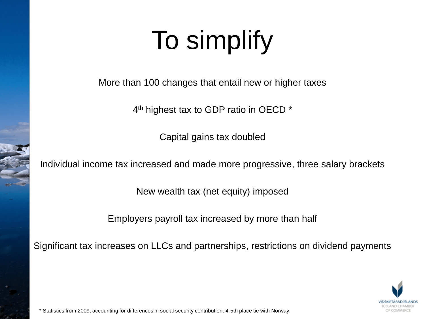# To simplify

More than 100 changes that entail new or higher taxes

4<sup>th</sup> highest tax to GDP ratio in OECD \*

Capital gains tax doubled

Individual income tax increased and made more progressive, three salary brackets

New wealth tax (net equity) imposed

Employers payroll tax increased by more than half

Significant tax increases on LLCs and partnerships, restrictions on dividend payments



\* Statistics from 2009, accounting for differences in social security contribution. 4-5th place tie with Norway.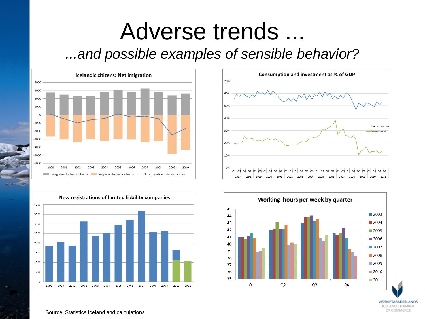### Adverse trends ... *...and possible examples of sensible behavior?*









VIĐSKIPTARÁĐ ÍSLANDS **ICELAND CHAMBER** OF COMMERCE

#### Source: Statistics Iceland and calculations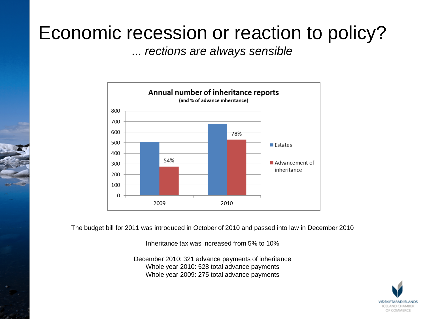### Economic recession or reaction to policy?

*... rections are always sensible*



The budget bill for 2011 was introduced in October of 2010 and passed into law in December 2010

Inheritance tax was increased from 5% to 10%

December 2010: 321 advance payments of inheritance Whole year 2010: 528 total advance payments Whole year 2009: 275 total advance payments

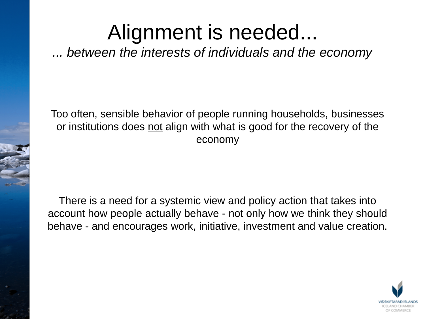## Alignment is needed...

*... between the interests of individuals and the economy*

Too often, sensible behavior of people running households, businesses or institutions does not align with what is good for the recovery of the economy

There is a need for a systemic view and policy action that takes into account how people actually behave - not only how we think they should behave - and encourages work, initiative, investment and value creation.